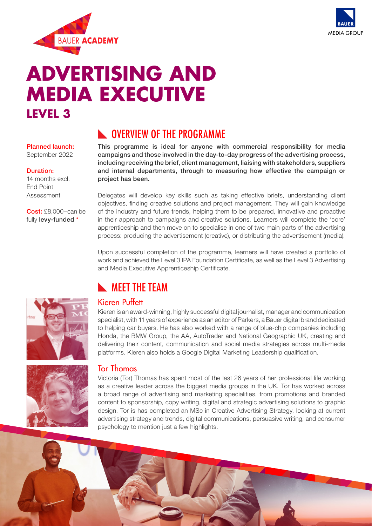



# **ADVERTISING AND MEDIA EXECUTIVE LEVEL 3**

### Planned launch:

September 2022

#### Duration:

14 months excl. End Point Assessment

Cost: £8,000-can be fully levy-funded \*

## **NOVERVIEW OF THE PROGRAMME**

This programme is ideal for anyone with commercial responsibility for media campaigns and those involved in the day-to-day progress of the advertising process, including receiving the brief, client management, liaising with stakeholders, suppliers and internal departments, through to measuring how effective the campaign or project has been.

Delegates will develop key skills such as taking effective briefs, understanding client objectives, finding creative solutions and project management. They will gain knowledge of the industry and future trends, helping them to be prepared, innovative and proactive in their approach to campaigns and creative solutions. Learners will complete the 'core' apprenticeship and then move on to specialise in one of two main parts of the advertising process: producing the advertisement (creative), or distributing the advertisement (media).

Upon successful completion of the programme, learners will have created a portfolio of work and achieved the Level 3 IPA Foundation Certificate, as well as the Level 3 Advertising and Media Executive Apprenticeship Certificate.

## **NEET THE TEAM**



Kieren is an award-winning, highly successful digital journalist, manager and communication specialist, with 11 years of experience as an editor of Parkers, a Bauer digital brand dedicated to helping car buyers. He has also worked with a range of blue-chip companies including Honda, the BMW Group, the AA, AutoTrader and National Geographic UK, creating and delivering their content, communication and social media strategies across multi-media platforms. Kieren also holds a Google Digital Marketing Leadership qualification.



### Tor Thomas

Victoria (Tor) Thomas has spent most of the last 26 years of her professional life working as a creative leader across the biggest media groups in the UK. Tor has worked across a broad range of advertising and marketing specialities, from promotions and branded content to sponsorship, copy writing, digital and strategic advertising solutions to graphic design. Tor is has completed an MSc in Creative Advertising Strategy, looking at current advertising strategy and trends, digital communications, persuasive writing, and consumer psychology to mention just a few highlights.